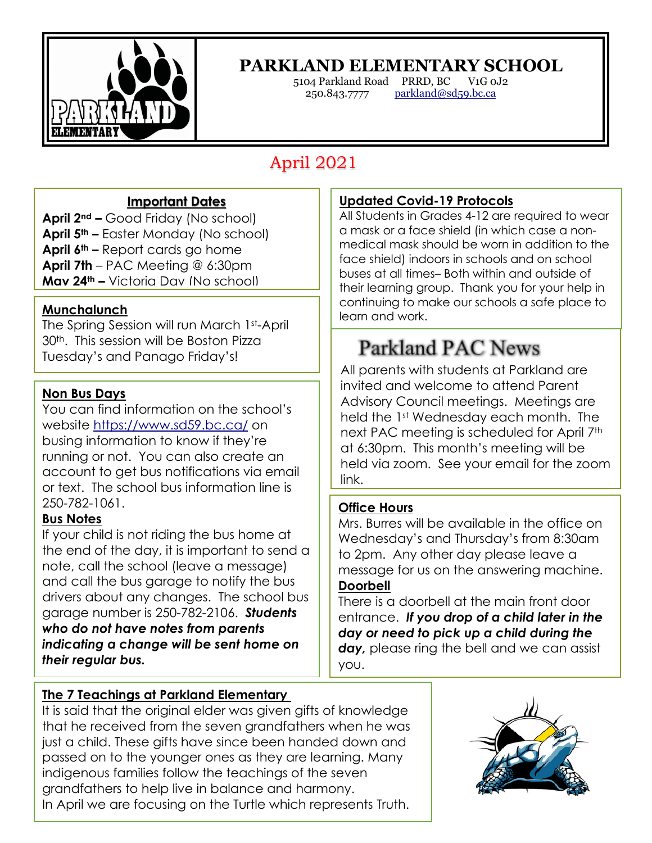

### **PARKLAND ELEMENTARY SCHOOL**

5104 Parkland Road PRRD, BC V1G 0J2 250.843.7777 parkland@sd59.bc.ca

## April 2021

#### **Important Dates**

**April 2nd –** Good Friday (No school) **April 5th –** Easter Monday (No school) **April 6th –** Report cards go home **April 7th** – PAC Meeting @ 6:30pm **May 24th –** Victoria Day (No school)

#### **Munchalunch**

 $\overline{a}$ 

The Spring Session will run March 1st-April 30th. This session will be Boston Pizza Tuesday's and Panago Friday's!

#### **Non Bus Days**

You can find information on the school's website https://www.sd59.bc.ca/ on busing information to know if they're running or not. You can also create an account to get bus notifications via email or text. The school bus information line is 250-782-1061.

#### **Bus Notes**

If your child is not riding the bus home at the end of the day, it is important to send a note, call the school (leave a message) and call the bus garage to notify the bus drivers about any changes. The school bus garage number is 250-782-2106. *Students who do not have notes from parents indicating a change will be sent home on their regular bus.*

#### **The 7 Teachings at Parkland Elementary**

It is said that the original elder was given gifts of knowledge that he received from the seven grandfathers when he was just a child. These gifts have since been handed down and passed on to the younger ones as they are learning. Many indigenous families follow the teachings of the seven grandfathers to help live in balance and harmony. In April we are focusing on the Turtle which represents Truth.

#### **Updated Covid-19 Protocols**

All Students in Grades 4-12 are required to wear a mask or a face shield (in which case a nonmedical mask should be worn in addition to the face shield) indoors in schools and on school buses at all times– Both within and outside of their learning group. Thank you for your help in continuing to make our schools a safe place to learn and work.

# **Parkland PAC News**

All parents with students at Parkland are invited and welcome to attend Parent Advisory Council meetings. Meetings are held the 1st Wednesday each month. The next PAC meeting is scheduled for April 7<sup>th</sup> at 6:30pm. This month's meeting will be held via zoom. See your email for the zoom link.

#### **Office Hours**

Mrs. Burres will be available in the office on Wednesday's and Thursday's from 8:30am to 2pm. Any other day please leave a message for us on the answering machine. **Doorbell**

There is a doorbell at the main front door entrance. *If you drop of a child later in the day or need to pick up a child during the day,* please ring the bell and we can assist you.